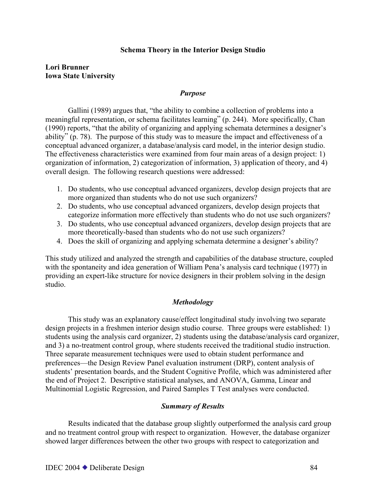## **Schema Theory in the Interior Design Studio**

# **Lori Brunner Iowa State University**

## *Purpose*

Gallini (1989) argues that, "the ability to combine a collection of problems into a meaningful representation, or schema facilitates learning" (p. 244). More specifically, Chan (1990) reports, "that the ability of organizing and applying schemata determines a designer's ability" (p. 78). The purpose of this study was to measure the impact and effectiveness of a conceptual advanced organizer, a database/analysis card model, in the interior design studio. The effectiveness characteristics were examined from four main areas of a design project: 1) organization of information, 2) categorization of information, 3) application of theory, and 4) overall design. The following research questions were addressed:

- 1. Do students, who use conceptual advanced organizers, develop design projects that are more organized than students who do not use such organizers?
- 2. Do students, who use conceptual advanced organizers, develop design projects that categorize information more effectively than students who do not use such organizers?
- 3. Do students, who use conceptual advanced organizers, develop design projects that are more theoretically-based than students who do not use such organizers?
- 4. Does the skill of organizing and applying schemata determine a designer's ability?

This study utilized and analyzed the strength and capabilities of the database structure, coupled with the spontaneity and idea generation of William Pena's analysis card technique (1977) in providing an expert-like structure for novice designers in their problem solving in the design studio.

# *Methodology*

This study was an explanatory cause/effect longitudinal study involving two separate design projects in a freshmen interior design studio course. Three groups were established: 1) students using the analysis card organizer, 2) students using the database/analysis card organizer, and 3) a no-treatment control group, where students received the traditional studio instruction. Three separate measurement techniques were used to obtain student performance and preferences—the Design Review Panel evaluation instrument (DRP), content analysis of students' presentation boards, and the Student Cognitive Profile, which was administered after the end of Project 2. Descriptive statistical analyses, and ANOVA, Gamma, Linear and Multinomial Logistic Regression, and Paired Samples T Test analyses were conducted.

# *Summary of Results*

Results indicated that the database group slightly outperformed the analysis card group and no treatment control group with respect to organization. However, the database organizer showed larger differences between the other two groups with respect to categorization and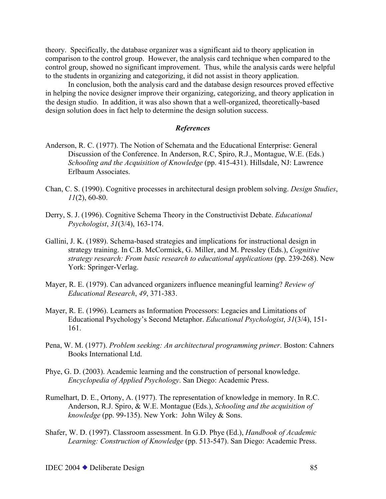theory. Specifically, the database organizer was a significant aid to theory application in comparison to the control group. However, the analysis card technique when compared to the control group, showed no significant improvement. Thus, while the analysis cards were helpful to the students in organizing and categorizing, it did not assist in theory application.

In conclusion, both the analysis card and the database design resources proved effective in helping the novice designer improve their organizing, categorizing, and theory application in the design studio. In addition, it was also shown that a well-organized, theoretically-based design solution does in fact help to determine the design solution success.

## *References*

- Anderson, R. C. (1977). The Notion of Schemata and the Educational Enterprise: General Discussion of the Conference. In Anderson, R.C, Spiro, R.J., Montague, W.E. (Eds.) *Schooling and the Acquisition of Knowledge* (pp. 415-431). Hillsdale, NJ: Lawrence Erlbaum Associates.
- Chan, C. S. (1990). Cognitive processes in architectural design problem solving. *Design Studies*, *11*(2), 60-80.
- Derry, S. J. (1996). Cognitive Schema Theory in the Constructivist Debate. *Educational Psychologist*, *31*(3/4), 163-174.
- Gallini, J. K. (1989). Schema-based strategies and implications for instructional design in strategy training. In C.B. McCormick, G. Miller, and M. Pressley (Eds.), *Cognitive strategy research: From basic research to educational applications* (pp. 239-268). New York: Springer-Verlag.
- Mayer, R. E. (1979). Can advanced organizers influence meaningful learning? *Review of Educational Research*, *49*, 371-383.
- Mayer, R. E. (1996). Learners as Information Processors: Legacies and Limitations of Educational Psychology's Second Metaphor. *Educational Psychologist*, *31*(3/4), 151- 161.
- Pena, W. M. (1977). *Problem seeking: An architectural programming primer*. Boston: Cahners Books International Ltd.
- Phye, G. D. (2003). Academic learning and the construction of personal knowledge. *Encyclopedia of Applied Psychology*. San Diego: Academic Press.
- Rumelhart, D. E., Ortony, A. (1977). The representation of knowledge in memory. In R.C. Anderson, R.J. Spiro, & W.E. Montague (Eds.), *Schooling and the acquisition of knowledge* (pp. 99-135). New York: John Wiley & Sons.
- Shafer, W. D. (1997). Classroom assessment. In G.D. Phye (Ed.), *Handbook of Academic Learning: Construction of Knowledge* (pp. 513-547). San Diego: Academic Press.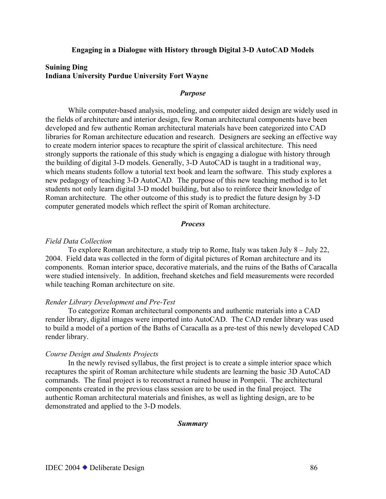## **Engaging in a Dialogue with History through Digital 3-D AutoCAD Models**

# **Suining Ding Indiana University Purdue University Fort Wayne**

## *Purpose*

While computer-based analysis, modeling, and computer aided design are widely used in the fields of architecture and interior design, few Roman architectural components have been developed and few authentic Roman architectural materials have been categorized into CAD libraries for Roman architecture education and research. Designers are seeking an effective way to create modern interior spaces to recapture the spirit of classical architecture. This need strongly supports the rationale of this study which is engaging a dialogue with history through the building of digital 3-D models. Generally, 3-D AutoCAD is taught in a traditional way, which means students follow a tutorial text book and learn the software. This study explores a new pedagogy of teaching 3-D AutoCAD. The purpose of this new teaching method is to let students not only learn digital 3-D model building, but also to reinforce their knowledge of Roman architecture. The other outcome of this study is to predict the future design by 3-D computer generated models which reflect the spirit of Roman architecture.

### *Process*

#### *Field Data Collection*

To explore Roman architecture, a study trip to Rome, Italy was taken July 8 – July 22, 2004. Field data was collected in the form of digital pictures of Roman architecture and its components. Roman interior space, decorative materials, and the ruins of the Baths of Caracalla were studied intensively. In addition, freehand sketches and field measurements were recorded while teaching Roman architecture on site.

### *Render Library Development and Pre-Test*

To categorize Roman architectural components and authentic materials into a CAD render library, digital images were imported into AutoCAD. The CAD render library was used to build a model of a portion of the Baths of Caracalla as a pre-test of this newly developed CAD render library.

### *Course Design and Students Projects*

In the newly revised syllabus, the first project is to create a simple interior space which recaptures the spirit of Roman architecture while students are learning the basic 3D AutoCAD commands. The final project is to reconstruct a ruined house in Pompeii. The architectural components created in the previous class session are to be used in the final project. The authentic Roman architectural materials and finishes, as well as lighting design, are to be demonstrated and applied to the 3-D models.

#### *Summary*